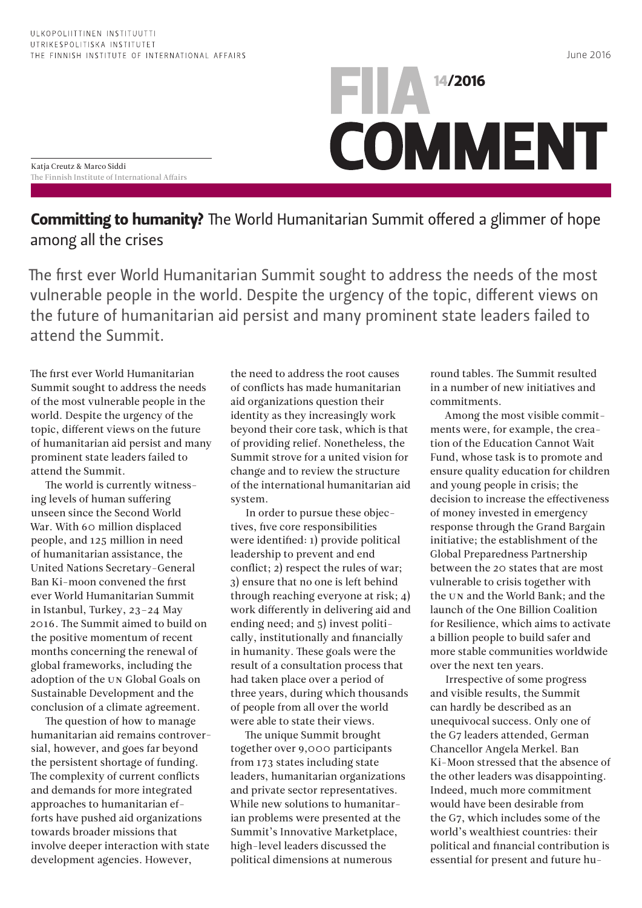June 2016

## **FILA** 14/2016 **COMMENT**

Katja Creutz & Marco Siddi The Finnish Institute of International Affairs

**Committing to humanity?** The World Humanitarian Summit offered a glimmer of hope among all the crises

The first ever World Humanitarian Summit sought to address the needs of the most vulnerable people in the world. Despite the urgency of the topic, different views on the future of humanitarian aid persist and many prominent state leaders failed to attend the Summit.

The first ever World Humanitarian Summit sought to address the needs of the most vulnerable people in the world. Despite the urgency of the topic, different views on the future of humanitarian aid persist and many prominent state leaders failed to attend the Summit.

The world is currently witnessing levels of human suffering unseen since the Second World War. With 60 million displaced people, and 125 million in need of humanitarian assistance, the United Nations Secretary-General Ban Ki-moon convened the first ever World Humanitarian Summit in Istanbul, Turkey, 23–24 May 2016. The Summit aimed to build on the positive momentum of recent months concerning the renewal of global frameworks, including the adoption of the UN Global Goals on Sustainable Development and the conclusion of a climate agreement.

The question of how to manage humanitarian aid remains controversial, however, and goes far beyond the persistent shortage of funding. The complexity of current conflicts and demands for more integrated approaches to humanitarian efforts have pushed aid organizations towards broader missions that involve deeper interaction with state development agencies. However,

the need to address the root causes of conflicts has made humanitarian aid organizations question their identity as they increasingly work beyond their core task, which is that of providing relief. Nonetheless, the Summit strove for a united vision for change and to review the structure of the international humanitarian aid system.

In order to pursue these objectives, five core responsibilities were identified: 1) provide political leadership to prevent and end conflict; 2) respect the rules of war; 3) ensure that no one is left behind through reaching everyone at risk; 4) work differently in delivering aid and ending need; and 5) invest politically, institutionally and financially in humanity. These goals were the result of a consultation process that had taken place over a period of three years, during which thousands of people from all over the world were able to state their views.

The unique Summit brought together over 9,000 participants from 173 states including state leaders, humanitarian organizations and private sector representatives. While new solutions to humanitarian problems were presented at the Summit's Innovative Marketplace, high-level leaders discussed the political dimensions at numerous

round tables. The Summit resulted in a number of new initiatives and commitments.

Among the most visible commitments were, for example, the creation of the Education Cannot Wait Fund, whose task is to promote and ensure quality education for children and young people in crisis; the decision to increase the effectiveness of money invested in emergency response through the Grand Bargain initiative; the establishment of the Global Preparedness Partnership between the 20 states that are most vulnerable to crisis together with the UN and the World Bank; and the launch of the One Billion Coalition for Resilience, which aims to activate a billion people to build safer and more stable communities worldwide over the next ten years.

Irrespective of some progress and visible results, the Summit can hardly be described as an unequivocal success. Only one of the G7 leaders attended, German Chancellor Angela Merkel. Ban Ki-Moon stressed that the absence of the other leaders was disappointing. Indeed, much more commitment would have been desirable from the G7, which includes some of the world's wealthiest countries: their political and financial contribution is essential for present and future hu